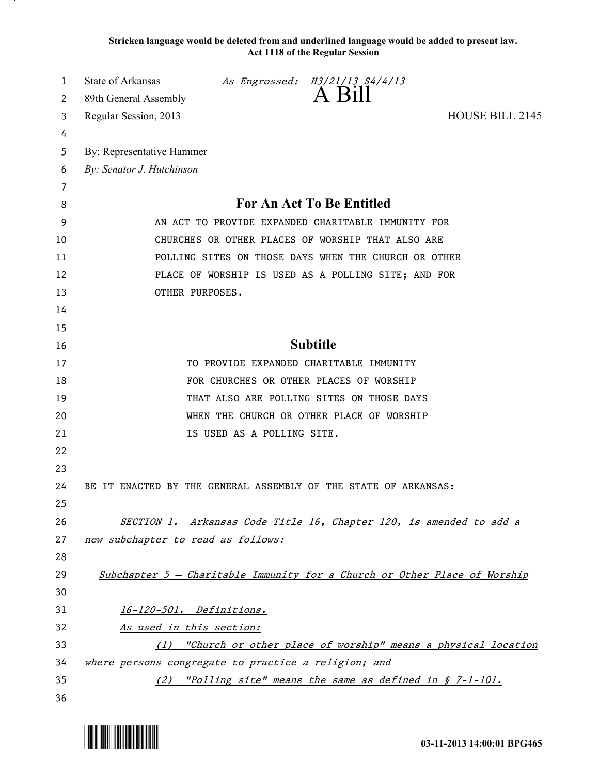**Stricken language would be deleted from and underlined language would be added to present law. Act 1118 of the Regular Session**

| 1  | State of Arkansas                                                         |                            | As Engrossed: H3/21/13 S4/4/13                                      |                 |  |
|----|---------------------------------------------------------------------------|----------------------------|---------------------------------------------------------------------|-----------------|--|
| 2  | 89th General Assembly                                                     |                            | A Bill                                                              |                 |  |
| 3  | Regular Session, 2013                                                     |                            |                                                                     | HOUSE BILL 2145 |  |
| 4  |                                                                           |                            |                                                                     |                 |  |
| 5  | By: Representative Hammer                                                 |                            |                                                                     |                 |  |
| 6  | By: Senator J. Hutchinson                                                 |                            |                                                                     |                 |  |
| 7  |                                                                           |                            |                                                                     |                 |  |
| 8  | <b>For An Act To Be Entitled</b>                                          |                            |                                                                     |                 |  |
| 9  | AN ACT TO PROVIDE EXPANDED CHARITABLE IMMUNITY FOR                        |                            |                                                                     |                 |  |
| 10 | CHURCHES OR OTHER PLACES OF WORSHIP THAT ALSO ARE                         |                            |                                                                     |                 |  |
| 11 | POLLING SITES ON THOSE DAYS WHEN THE CHURCH OR OTHER                      |                            |                                                                     |                 |  |
| 12 | PLACE OF WORSHIP IS USED AS A POLLING SITE; AND FOR                       |                            |                                                                     |                 |  |
| 13 | OTHER PURPOSES.                                                           |                            |                                                                     |                 |  |
| 14 |                                                                           |                            |                                                                     |                 |  |
| 15 |                                                                           |                            |                                                                     |                 |  |
| 16 | <b>Subtitle</b>                                                           |                            |                                                                     |                 |  |
| 17 |                                                                           |                            | TO PROVIDE EXPANDED CHARITABLE IMMUNITY                             |                 |  |
| 18 |                                                                           |                            | FOR CHURCHES OR OTHER PLACES OF WORSHIP                             |                 |  |
| 19 |                                                                           |                            | THAT ALSO ARE POLLING SITES ON THOSE DAYS                           |                 |  |
| 20 |                                                                           |                            | WHEN THE CHURCH OR OTHER PLACE OF WORSHIP                           |                 |  |
| 21 |                                                                           | IS USED AS A POLLING SITE. |                                                                     |                 |  |
| 22 |                                                                           |                            |                                                                     |                 |  |
| 23 |                                                                           |                            |                                                                     |                 |  |
| 24 | BE IT ENACTED BY THE GENERAL ASSEMBLY OF THE STATE OF ARKANSAS:           |                            |                                                                     |                 |  |
| 25 |                                                                           |                            |                                                                     |                 |  |
| 26 |                                                                           |                            | SECTION 1. Arkansas Code Title 16, Chapter 120, is amended to add a |                 |  |
| 27 | new subchapter to read as follows:                                        |                            |                                                                     |                 |  |
| 28 |                                                                           |                            |                                                                     |                 |  |
| 29 | Subchapter 5 - Charitable Immunity for a Church or Other Place of Worship |                            |                                                                     |                 |  |
| 30 |                                                                           |                            |                                                                     |                 |  |
| 31 | 16-120-501. Definitions.                                                  |                            |                                                                     |                 |  |
| 32 | As used in this section:                                                  |                            |                                                                     |                 |  |
| 33 | (1) "Church or other place of worship" means a physical location          |                            |                                                                     |                 |  |
| 34 | where persons congregate to practice a religion; and                      |                            |                                                                     |                 |  |
| 35 |                                                                           |                            | (2) "Polling site" means the same as defined in § 7-1-101.          |                 |  |
| 36 |                                                                           |                            |                                                                     |                 |  |